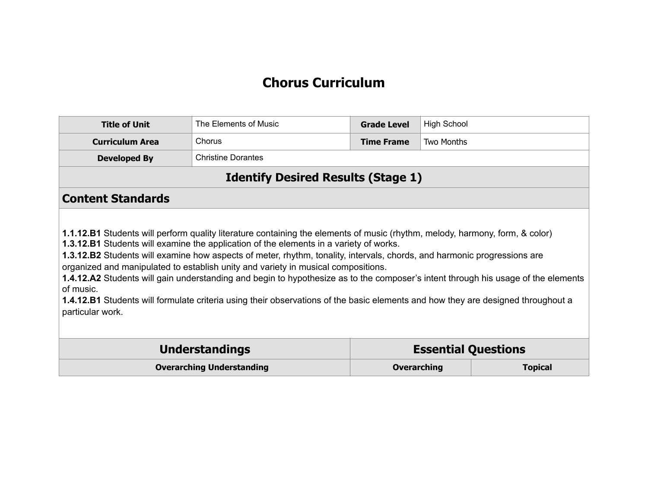#### **Chorus Curriculum**

| <b>Title of Unit</b>                                                                                                                                                                                                                                                                                                                                                                                                                                                                                                                                                                                                                                                                                                                                            | The Elements of Music                               | <b>Grade Level</b> | <b>High School</b> |  |
|-----------------------------------------------------------------------------------------------------------------------------------------------------------------------------------------------------------------------------------------------------------------------------------------------------------------------------------------------------------------------------------------------------------------------------------------------------------------------------------------------------------------------------------------------------------------------------------------------------------------------------------------------------------------------------------------------------------------------------------------------------------------|-----------------------------------------------------|--------------------|--------------------|--|
| <b>Curriculum Area</b>                                                                                                                                                                                                                                                                                                                                                                                                                                                                                                                                                                                                                                                                                                                                          | Chorus                                              | <b>Time Frame</b>  | <b>Two Months</b>  |  |
| <b>Developed By</b>                                                                                                                                                                                                                                                                                                                                                                                                                                                                                                                                                                                                                                                                                                                                             | <b>Christine Dorantes</b>                           |                    |                    |  |
|                                                                                                                                                                                                                                                                                                                                                                                                                                                                                                                                                                                                                                                                                                                                                                 | <b>Identify Desired Results (Stage 1)</b>           |                    |                    |  |
| <b>Content Standards</b>                                                                                                                                                                                                                                                                                                                                                                                                                                                                                                                                                                                                                                                                                                                                        |                                                     |                    |                    |  |
| 1.1.12.B1 Students will perform quality literature containing the elements of music (rhythm, melody, harmony, form, & color)<br><b>1.3.12.B1</b> Students will examine the application of the elements in a variety of works.<br>1.3.12.B2 Students will examine how aspects of meter, rhythm, tonality, intervals, chords, and harmonic progressions are<br>organized and manipulated to establish unity and variety in musical compositions.<br>1.4.12.A2 Students will gain understanding and begin to hypothesize as to the composer's intent through his usage of the elements<br>of music.<br><b>1.4.12.B1</b> Students will formulate criteria using their observations of the basic elements and how they are designed throughout a<br>particular work. |                                                     |                    |                    |  |
|                                                                                                                                                                                                                                                                                                                                                                                                                                                                                                                                                                                                                                                                                                                                                                 | <b>Understandings</b><br><b>Essential Questions</b> |                    |                    |  |
|                                                                                                                                                                                                                                                                                                                                                                                                                                                                                                                                                                                                                                                                                                                                                                 | <b>Overarching Understanding</b>                    | <b>Overarching</b> | <b>Topical</b>     |  |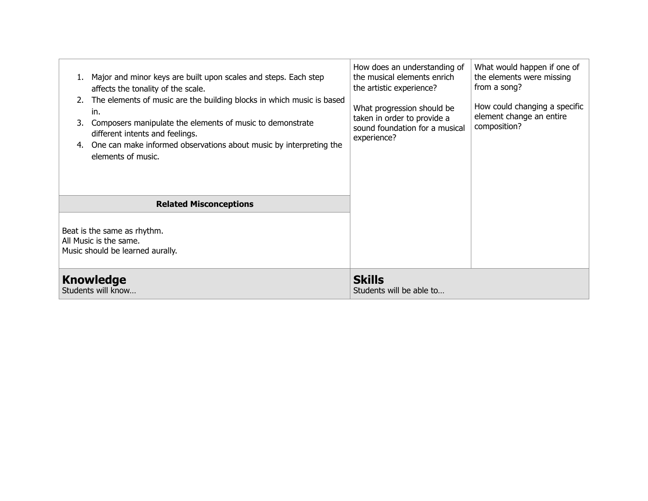| Major and minor keys are built upon scales and steps. Each step<br>affects the tonality of the scale.<br>The elements of music are the building blocks in which music is based<br>in.<br>Composers manipulate the elements of music to demonstrate<br>different intents and feelings.<br>One can make informed observations about music by interpreting the<br>4.<br>elements of music. | How does an understanding of<br>the musical elements enrich<br>the artistic experience?<br>What progression should be<br>taken in order to provide a<br>sound foundation for a musical<br>experience? | What would happen if one of<br>the elements were missing<br>from a song?<br>How could changing a specific<br>element change an entire<br>composition? |
|-----------------------------------------------------------------------------------------------------------------------------------------------------------------------------------------------------------------------------------------------------------------------------------------------------------------------------------------------------------------------------------------|-------------------------------------------------------------------------------------------------------------------------------------------------------------------------------------------------------|-------------------------------------------------------------------------------------------------------------------------------------------------------|
| <b>Related Misconceptions</b><br>Beat is the same as rhythm.<br>All Music is the same.<br>Music should be learned aurally.<br><b>Knowledge</b><br>Students will know                                                                                                                                                                                                                    | <b>Skills</b><br>Students will be able to                                                                                                                                                             |                                                                                                                                                       |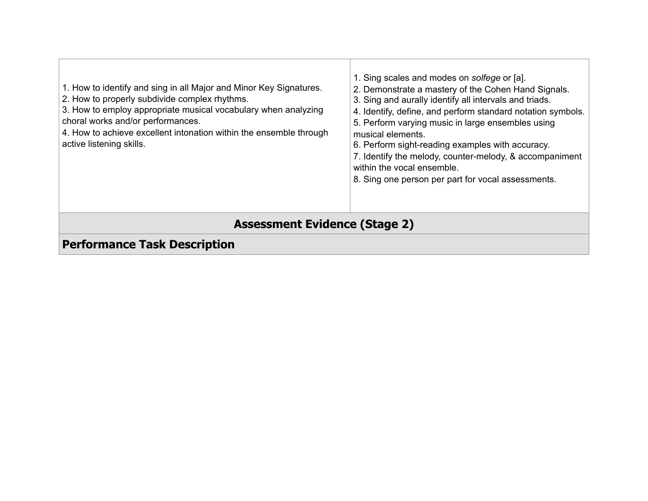| 1. How to identify and sing in all Major and Minor Key Signatures.<br>2. How to properly subdivide complex rhythms.<br>3. How to employ appropriate musical vocabulary when analyzing<br>choral works and/or performances.<br>4. How to achieve excellent intonation within the ensemble through<br>active listening skills. | 1. Sing scales and modes on solfege or [a].<br>2. Demonstrate a mastery of the Cohen Hand Signals.<br>3. Sing and aurally identify all intervals and triads.<br>4. Identify, define, and perform standard notation symbols.<br>5. Perform varying music in large ensembles using<br>musical elements.<br>6. Perform sight-reading examples with accuracy.<br>7. Identify the melody, counter-melody, & accompaniment<br>within the vocal ensemble.<br>8. Sing one person per part for vocal assessments. |  |  |
|------------------------------------------------------------------------------------------------------------------------------------------------------------------------------------------------------------------------------------------------------------------------------------------------------------------------------|----------------------------------------------------------------------------------------------------------------------------------------------------------------------------------------------------------------------------------------------------------------------------------------------------------------------------------------------------------------------------------------------------------------------------------------------------------------------------------------------------------|--|--|
| <b>Assessment Evidence (Stage 2)</b>                                                                                                                                                                                                                                                                                         |                                                                                                                                                                                                                                                                                                                                                                                                                                                                                                          |  |  |
| <b>Performance Task Description</b>                                                                                                                                                                                                                                                                                          |                                                                                                                                                                                                                                                                                                                                                                                                                                                                                                          |  |  |

┱

٦

Τ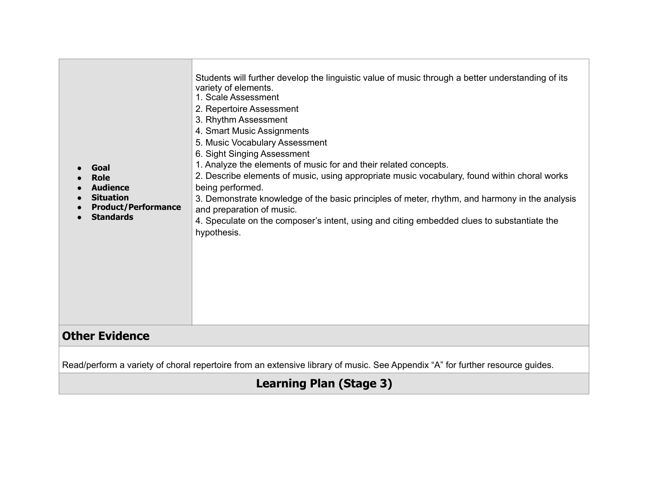| Students will further develop the linguistic value of music through a better understanding of its<br>variety of elements.<br>1. Scale Assessment<br>2. Repertoire Assessment                                                                                                                                                                                                                                                                                                                                                                                                                                                                                            |  |  |
|-------------------------------------------------------------------------------------------------------------------------------------------------------------------------------------------------------------------------------------------------------------------------------------------------------------------------------------------------------------------------------------------------------------------------------------------------------------------------------------------------------------------------------------------------------------------------------------------------------------------------------------------------------------------------|--|--|
| 3. Rhythm Assessment<br>4. Smart Music Assignments<br>5. Music Vocabulary Assessment<br>6. Sight Singing Assessment<br>1. Analyze the elements of music for and their related concepts.<br>Goal<br>2. Describe elements of music, using appropriate music vocabulary, found within choral works<br><b>Role</b><br><b>Audience</b><br>being performed.<br><b>Situation</b><br>3. Demonstrate knowledge of the basic principles of meter, rhythm, and harmony in the analysis<br><b>Product/Performance</b><br>and preparation of music.<br><b>Standards</b><br>4. Speculate on the composer's intent, using and citing embedded clues to substantiate the<br>hypothesis. |  |  |
| <b>Other Evidence</b>                                                                                                                                                                                                                                                                                                                                                                                                                                                                                                                                                                                                                                                   |  |  |
| Read/perform a variety of choral repertoire from an extensive library of music. See Appendix "A" for further resource guides.                                                                                                                                                                                                                                                                                                                                                                                                                                                                                                                                           |  |  |

### **Learning Plan (Stage 3)**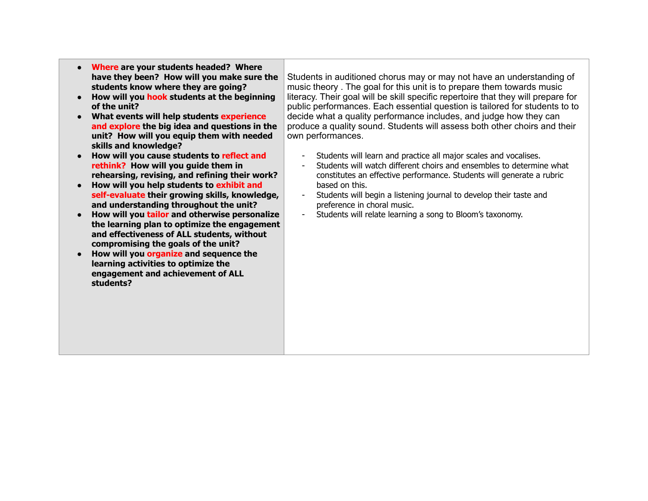- **Where are your students headed? Where have they been? How will you make sure the students know where they are going?**
- **How will you hook students at the beginning of the unit?**
- **What events will help students experience and explore the big idea and questions in the unit? How will you equip them with needed skills and knowledge?**
- **How will you cause students to reflect and rethink? How will you guide them in rehearsing, revising, and refining their work?**
- **How will you help students to exhibit and self-evaluate their growing skills, knowledge, and understanding throughout the unit?**
- **How will you tailor and otherwise personalize the learning plan to optimize the engagement and effectiveness of ALL students, without compromising the goals of the unit?**
- **How will you organize and sequence the learning activities to optimize the engagement and achievement of ALL students?**

Students in auditioned chorus may or may not have an understanding of music theory . The goal for this unit is to prepare them towards music literacy. Their goal will be skill specific repertoire that they will prepare for public performances. Each essential question is tailored for students to to decide what a quality performance includes, and judge how they can produce a quality sound. Students will assess both other choirs and their own performances.

- Students will learn and practice all major scales and vocalises.
- Students will watch different choirs and ensembles to determine what constitutes an effective performance. Students will generate a rubric based on this.
- Students will begin a listening journal to develop their taste and preference in choral music.
- Students will relate learning a song to Bloom's taxonomy.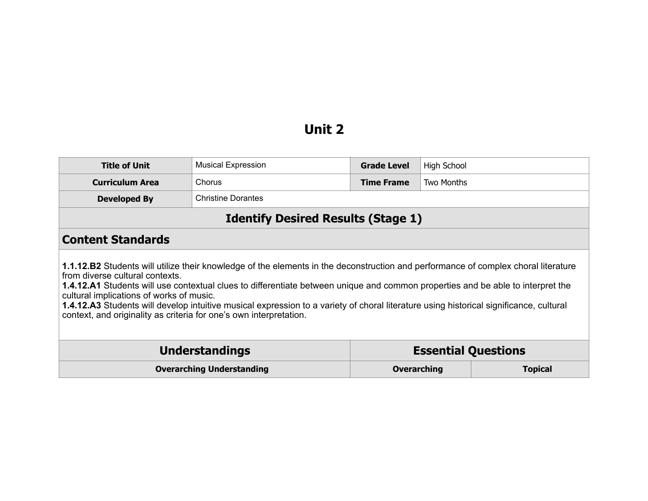## **Unit 2**

| <b>Title of Unit</b>                                                                                                                                                                                                                                                                                                                                                                                                                                                                                                                                                               | <b>Musical Expression</b>                           | <b>Grade Level</b> | High School    |
|------------------------------------------------------------------------------------------------------------------------------------------------------------------------------------------------------------------------------------------------------------------------------------------------------------------------------------------------------------------------------------------------------------------------------------------------------------------------------------------------------------------------------------------------------------------------------------|-----------------------------------------------------|--------------------|----------------|
| <b>Curriculum Area</b>                                                                                                                                                                                                                                                                                                                                                                                                                                                                                                                                                             | Chorus                                              | <b>Time Frame</b>  | Two Months     |
| <b>Developed By</b>                                                                                                                                                                                                                                                                                                                                                                                                                                                                                                                                                                | <b>Christine Dorantes</b>                           |                    |                |
| <b>Identify Desired Results (Stage 1)</b>                                                                                                                                                                                                                                                                                                                                                                                                                                                                                                                                          |                                                     |                    |                |
| <b>Content Standards</b>                                                                                                                                                                                                                                                                                                                                                                                                                                                                                                                                                           |                                                     |                    |                |
| 1.1.12.B2 Students will utilize their knowledge of the elements in the deconstruction and performance of complex choral literature<br>from diverse cultural contexts.<br><b>1.4.12.A1</b> Students will use contextual clues to differentiate between unique and common properties and be able to interpret the<br>cultural implications of works of music.<br><b>1.4.12.A3</b> Students will develop intuitive musical expression to a variety of choral literature using historical significance, cultural<br>context, and originality as criteria for one's own interpretation. |                                                     |                    |                |
|                                                                                                                                                                                                                                                                                                                                                                                                                                                                                                                                                                                    | <b>Understandings</b><br><b>Essential Questions</b> |                    |                |
|                                                                                                                                                                                                                                                                                                                                                                                                                                                                                                                                                                                    | <b>Overarching Understanding</b>                    | <b>Overarching</b> | <b>Topical</b> |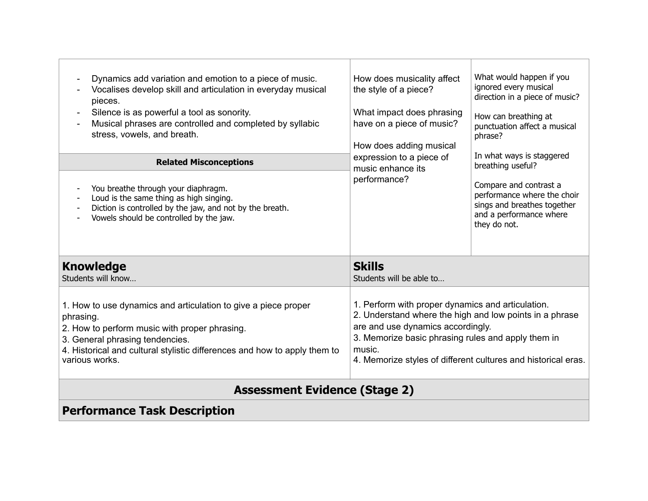| Dynamics add variation and emotion to a piece of music.<br>Vocalises develop skill and articulation in everyday musical<br>pieces.<br>Silence is as powerful a tool as sonority.<br>Musical phrases are controlled and completed by syllabic<br>stress, vowels, and breath. | How does musicality affect<br>the style of a piece?<br>What impact does phrasing<br>have on a piece of music?<br>How does adding musical                                                                                                                                           | What would happen if you<br>ignored every musical<br>direction in a piece of music?<br>How can breathing at<br>punctuation affect a musical<br>phrase? |  |  |
|-----------------------------------------------------------------------------------------------------------------------------------------------------------------------------------------------------------------------------------------------------------------------------|------------------------------------------------------------------------------------------------------------------------------------------------------------------------------------------------------------------------------------------------------------------------------------|--------------------------------------------------------------------------------------------------------------------------------------------------------|--|--|
| <b>Related Misconceptions</b>                                                                                                                                                                                                                                               | expression to a piece of<br>music enhance its                                                                                                                                                                                                                                      | In what ways is staggered<br>breathing useful?                                                                                                         |  |  |
| You breathe through your diaphragm.<br>Loud is the same thing as high singing.<br>Diction is controlled by the jaw, and not by the breath.<br>Vowels should be controlled by the jaw.                                                                                       | performance?                                                                                                                                                                                                                                                                       | Compare and contrast a<br>performance where the choir<br>sings and breathes together<br>and a performance where<br>they do not.                        |  |  |
| <b>Knowledge</b><br>Students will know                                                                                                                                                                                                                                      | <b>Skills</b><br>Students will be able to                                                                                                                                                                                                                                          |                                                                                                                                                        |  |  |
| 1. How to use dynamics and articulation to give a piece proper<br>phrasing.<br>2. How to perform music with proper phrasing.<br>3. General phrasing tendencies.<br>4. Historical and cultural stylistic differences and how to apply them to<br>various works.              | 1. Perform with proper dynamics and articulation.<br>2. Understand where the high and low points in a phrase<br>are and use dynamics accordingly.<br>3. Memorize basic phrasing rules and apply them in<br>music.<br>4. Memorize styles of different cultures and historical eras. |                                                                                                                                                        |  |  |
|                                                                                                                                                                                                                                                                             | <b>Assessment Evidence (Stage 2)</b>                                                                                                                                                                                                                                               |                                                                                                                                                        |  |  |
| <b>Performance Task Description</b>                                                                                                                                                                                                                                         |                                                                                                                                                                                                                                                                                    |                                                                                                                                                        |  |  |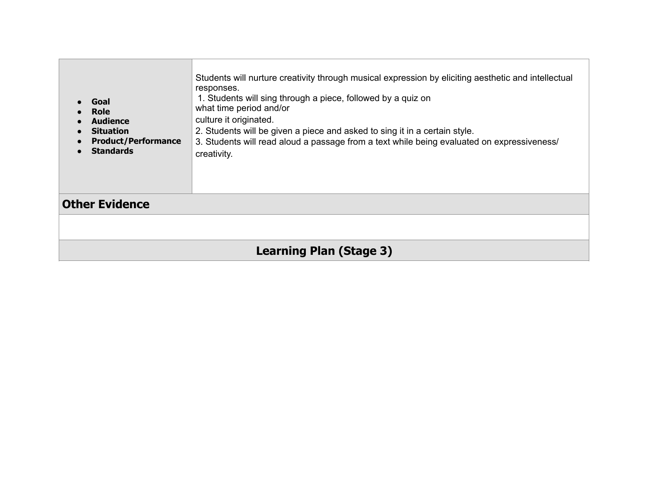| Goal<br><b>Role</b><br><b>Audience</b><br><b>Situation</b><br><b>Product/Performance</b><br><b>Standards</b> | Students will nurture creativity through musical expression by eliciting aesthetic and intellectual<br>responses.<br>1. Students will sing through a piece, followed by a quiz on<br>what time period and/or<br>culture it originated.<br>2. Students will be given a piece and asked to sing it in a certain style.<br>3. Students will read aloud a passage from a text while being evaluated on expressiveness/<br>creativity. |  |
|--------------------------------------------------------------------------------------------------------------|-----------------------------------------------------------------------------------------------------------------------------------------------------------------------------------------------------------------------------------------------------------------------------------------------------------------------------------------------------------------------------------------------------------------------------------|--|
| <b>Other Evidence</b>                                                                                        |                                                                                                                                                                                                                                                                                                                                                                                                                                   |  |
|                                                                                                              |                                                                                                                                                                                                                                                                                                                                                                                                                                   |  |
| <b>Learning Plan (Stage 3)</b>                                                                               |                                                                                                                                                                                                                                                                                                                                                                                                                                   |  |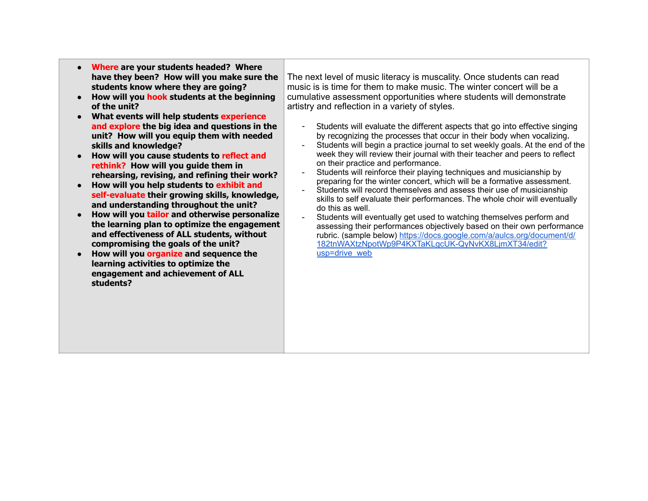- **Where are your students headed? Where have they been? How will you make sure the students know where they are going?**
- **How will you hook students at the beginning of the unit?**
- **What events will help students experience and explore the big idea and questions in the unit? How will you equip them with needed skills and knowledge?**
- **How will you cause students to reflect and rethink? How will you guide them in rehearsing, revising, and refining their work?**
- **How will you help students to exhibit and self-evaluate their growing skills, knowledge, and understanding throughout the unit?**
- **How will you tailor and otherwise personalize the learning plan to optimize the engagement and effectiveness of ALL students, without compromising the goals of the unit?**
- **How will you organize and sequence the learning activities to optimize the engagement and achievement of ALL students?**

The next level of music literacy is muscality. Once students can read music is is time for them to make music. The winter concert will be a cumulative assessment opportunities where students will demonstrate artistry and reflection in a variety of styles.

- Students will evaluate the different aspects that go into effective singing by recognizing the processes that occur in their body when vocalizing.
- Students will begin a practice journal to set weekly goals. At the end of the week they will review their journal with their teacher and peers to reflect on their practice and performance.
- Students will reinforce their playing techniques and musicianship by preparing for the winter concert, which will be a formative assessment.
- Students will record themselves and assess their use of musicianship skills to self evaluate their performances. The whole choir will eventually do this as well.
- Students will eventually get used to watching themselves perform and assessing their performances objectively based on their own performance [rubric. \(sample below\) https://docs.google.com/a/aulcs.org/document/d/](https://docs.google.com/a/aulcs.org/document/d/182tnWAXtzNpotWp9P4KXTaKLgcUK-QyNvKX8LjmXT34/edit?usp=drive_web) 182tnWAXtzNpotWp9P4KXTaKLgcUK-QyNvKX8LjmXT34/edit? usp=drive\_web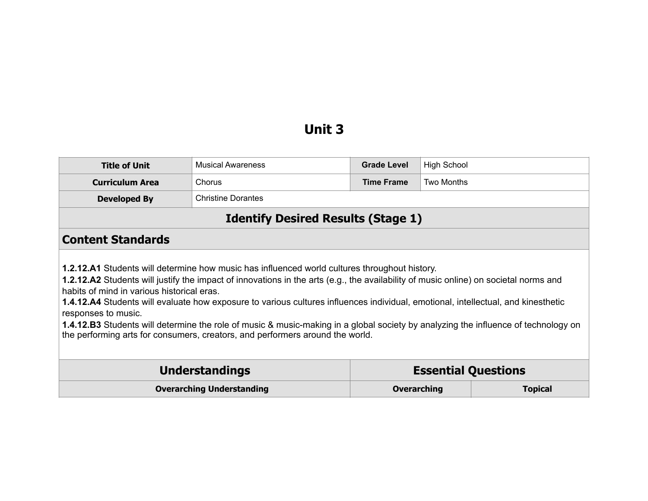# **Unit 3**

| <b>Title of Unit</b>                                                                                                                                                                                                                                                                                                                                                                                                                                                                                                                                                                                                                                                                 | <b>Musical Awareness</b>                            | <b>Grade Level</b> | <b>High School</b> |                |
|--------------------------------------------------------------------------------------------------------------------------------------------------------------------------------------------------------------------------------------------------------------------------------------------------------------------------------------------------------------------------------------------------------------------------------------------------------------------------------------------------------------------------------------------------------------------------------------------------------------------------------------------------------------------------------------|-----------------------------------------------------|--------------------|--------------------|----------------|
| <b>Curriculum Area</b>                                                                                                                                                                                                                                                                                                                                                                                                                                                                                                                                                                                                                                                               | Chorus                                              | <b>Time Frame</b>  | Two Months         |                |
| <b>Developed By</b>                                                                                                                                                                                                                                                                                                                                                                                                                                                                                                                                                                                                                                                                  | <b>Christine Dorantes</b>                           |                    |                    |                |
|                                                                                                                                                                                                                                                                                                                                                                                                                                                                                                                                                                                                                                                                                      | <b>Identify Desired Results (Stage 1)</b>           |                    |                    |                |
| <b>Content Standards</b>                                                                                                                                                                                                                                                                                                                                                                                                                                                                                                                                                                                                                                                             |                                                     |                    |                    |                |
| <b>1.2.12.A1</b> Students will determine how music has influenced world cultures throughout history.<br>1.2.12.A2 Students will justify the impact of innovations in the arts (e.g., the availability of music online) on societal norms and<br>habits of mind in various historical eras.<br><b>1.4.12.A4</b> Students will evaluate how exposure to various cultures influences individual, emotional, intellectual, and kinesthetic<br>responses to music.<br>1.4.12.B3 Students will determine the role of music & music-making in a global society by analyzing the influence of technology on<br>the performing arts for consumers, creators, and performers around the world. |                                                     |                    |                    |                |
|                                                                                                                                                                                                                                                                                                                                                                                                                                                                                                                                                                                                                                                                                      | <b>Understandings</b><br><b>Essential Questions</b> |                    |                    |                |
| <b>Overarching Understanding</b>                                                                                                                                                                                                                                                                                                                                                                                                                                                                                                                                                                                                                                                     |                                                     | <b>Overarching</b> |                    | <b>Topical</b> |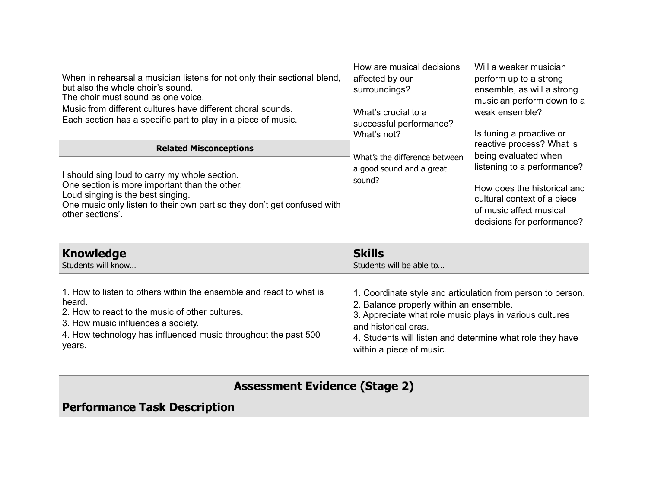| When in rehearsal a musician listens for not only their sectional blend,<br>but also the whole choir's sound.<br>The choir must sound as one voice.<br>Music from different cultures have different choral sounds.<br>Each section has a specific part to play in a piece of music. | How are musical decisions<br>affected by our<br>surroundings?<br>What's crucial to a<br>successful performance?<br>What's not?                                                                                                                                                     | Will a weaker musician<br>perform up to a strong<br>ensemble, as will a strong<br>musician perform down to a<br>weak ensemble?<br>Is tuning a proactive or                                              |  |
|-------------------------------------------------------------------------------------------------------------------------------------------------------------------------------------------------------------------------------------------------------------------------------------|------------------------------------------------------------------------------------------------------------------------------------------------------------------------------------------------------------------------------------------------------------------------------------|---------------------------------------------------------------------------------------------------------------------------------------------------------------------------------------------------------|--|
| <b>Related Misconceptions</b>                                                                                                                                                                                                                                                       | What's the difference between                                                                                                                                                                                                                                                      | reactive process? What is<br>being evaluated when<br>listening to a performance?<br>How does the historical and<br>cultural context of a piece<br>of music affect musical<br>decisions for performance? |  |
| I should sing loud to carry my whole section.<br>One section is more important than the other.<br>Loud singing is the best singing.<br>One music only listen to their own part so they don't get confused with<br>other sections'.                                                  | a good sound and a great<br>sound?                                                                                                                                                                                                                                                 |                                                                                                                                                                                                         |  |
| <b>Knowledge</b><br>Students will know                                                                                                                                                                                                                                              | <b>Skills</b><br>Students will be able to                                                                                                                                                                                                                                          |                                                                                                                                                                                                         |  |
| 1. How to listen to others within the ensemble and react to what is<br>heard.<br>2. How to react to the music of other cultures.<br>3. How music influences a society.<br>4. How technology has influenced music throughout the past 500<br>years.                                  | 1. Coordinate style and articulation from person to person.<br>2. Balance properly within an ensemble.<br>3. Appreciate what role music plays in various cultures<br>and historical eras.<br>4. Students will listen and determine what role they have<br>within a piece of music. |                                                                                                                                                                                                         |  |
| <b>Assessment Evidence (Stage 2)</b>                                                                                                                                                                                                                                                |                                                                                                                                                                                                                                                                                    |                                                                                                                                                                                                         |  |
| <b>Performance Task Description</b>                                                                                                                                                                                                                                                 |                                                                                                                                                                                                                                                                                    |                                                                                                                                                                                                         |  |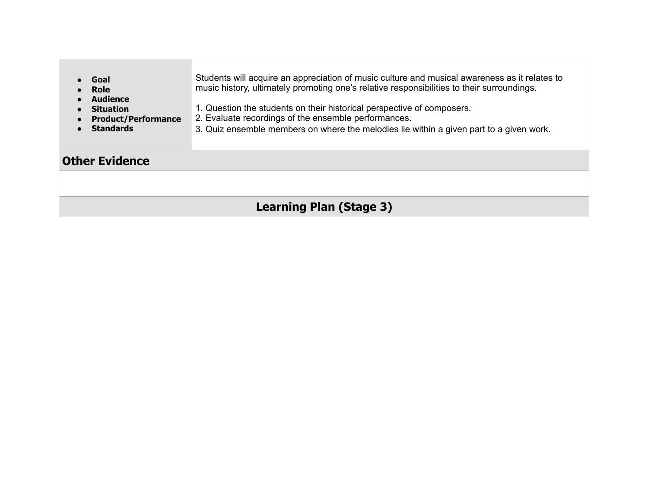| Goal<br><b>Role</b><br>Audience<br><b>Situation</b><br><b>Product/Performance</b><br><b>Standards</b> | Students will acquire an appreciation of music culture and musical awareness as it relates to<br>music history, ultimately promoting one's relative responsibilities to their surroundings.<br>1. Question the students on their historical perspective of composers.<br>2. Evaluate recordings of the ensemble performances.<br>3. Quiz ensemble members on where the melodies lie within a given part to a given work. |  |
|-------------------------------------------------------------------------------------------------------|--------------------------------------------------------------------------------------------------------------------------------------------------------------------------------------------------------------------------------------------------------------------------------------------------------------------------------------------------------------------------------------------------------------------------|--|
| <b>Other Evidence</b>                                                                                 |                                                                                                                                                                                                                                                                                                                                                                                                                          |  |
|                                                                                                       |                                                                                                                                                                                                                                                                                                                                                                                                                          |  |
| Learning Plan (Stage 3)                                                                               |                                                                                                                                                                                                                                                                                                                                                                                                                          |  |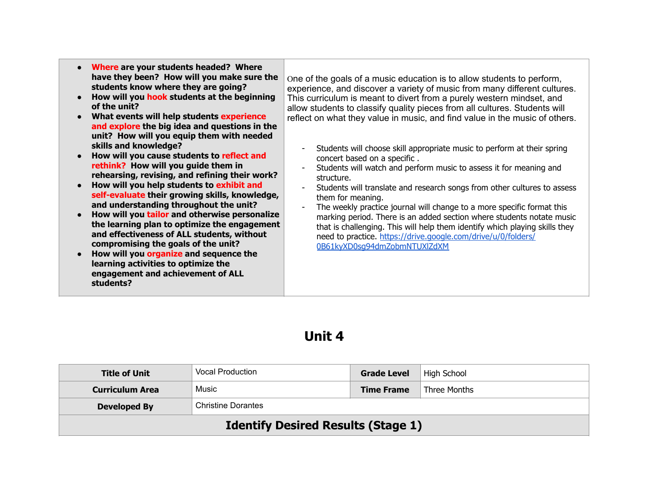| Where are your students headed? Where<br>have they been? How will you make sure the<br>students know where they are going?<br>How will you hook students at the beginning<br>of the unit?<br>What events will help students experience<br>and explore the big idea and questions in the<br>unit? How will you equip them with needed                                                                                                                                                                                                                                                                                           | One of the goals of a music education is to allow students to perform,<br>experience, and discover a variety of music from many different cultures.<br>This curriculum is meant to divert from a purely western mindset, and<br>allow students to classify quality pieces from all cultures. Students will<br>reflect on what they value in music, and find value in the music of others.                                                                                                                                                                                                                                       |
|--------------------------------------------------------------------------------------------------------------------------------------------------------------------------------------------------------------------------------------------------------------------------------------------------------------------------------------------------------------------------------------------------------------------------------------------------------------------------------------------------------------------------------------------------------------------------------------------------------------------------------|---------------------------------------------------------------------------------------------------------------------------------------------------------------------------------------------------------------------------------------------------------------------------------------------------------------------------------------------------------------------------------------------------------------------------------------------------------------------------------------------------------------------------------------------------------------------------------------------------------------------------------|
| skills and knowledge?<br>How will you cause students to reflect and<br>rethink? How will you guide them in<br>rehearsing, revising, and refining their work?<br>How will you help students to exhibit and<br>self-evaluate their growing skills, knowledge,<br>and understanding throughout the unit?<br>How will you tailor and otherwise personalize<br>the learning plan to optimize the engagement<br>and effectiveness of ALL students, without<br>compromising the goals of the unit?<br>How will you organize and sequence the<br>learning activities to optimize the<br>engagement and achievement of ALL<br>students? | Students will choose skill appropriate music to perform at their spring<br>concert based on a specific.<br>Students will watch and perform music to assess it for meaning and<br>structure.<br>Students will translate and research songs from other cultures to assess<br>them for meaning.<br>The weekly practice journal will change to a more specific format this<br>marking period. There is an added section where students notate music<br>that is challenging. This will help them identify which playing skills they<br>need to practice. https://drive.google.com/drive/u/0/folders/<br>0B61kyXD0sq94dmZobmNTUXlZdXM |

## **Unit 4**

| <b>Title of Unit</b>                             | <b>Vocal Production</b> | <b>Grade Level</b> | High School  |
|--------------------------------------------------|-------------------------|--------------------|--------------|
| <b>Curriculum Area</b>                           | Music                   | <b>Time Frame</b>  | Three Months |
| <b>Christine Dorantes</b><br><b>Developed By</b> |                         |                    |              |
| <b>Identify Desired Results (Stage 1)</b>        |                         |                    |              |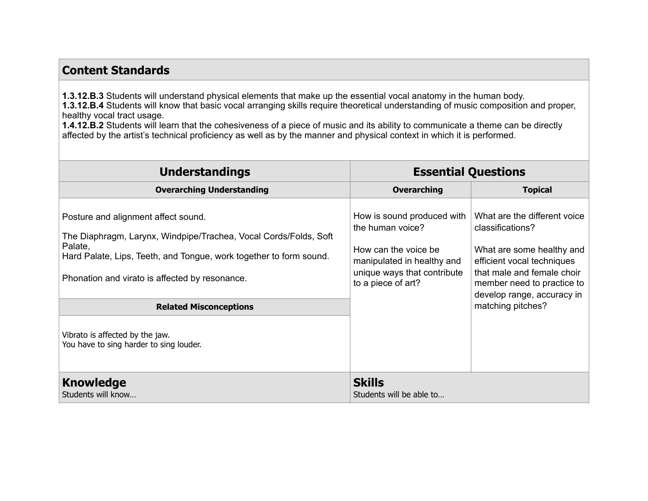#### **Content Standards**

**1.3.12.B.3** Students will understand physical elements that make up the essential vocal anatomy in the human body. **1.3.12.B.4** Students will know that basic vocal arranging skills require theoretical understanding of music composition and proper, healthy vocal tract usage.

**1.4.12.B.2** Students will learn that the cohesiveness of a piece of music and its ability to communicate a theme can be directly affected by the artist's technical proficiency as well as by the manner and physical context in which it is performed.

| <b>Understandings</b>                                                                                                                                                                                                                                                                                                                                     | <b>Essential Questions</b>                                                                                                                                 |                                                                                                                                                                                                                            |
|-----------------------------------------------------------------------------------------------------------------------------------------------------------------------------------------------------------------------------------------------------------------------------------------------------------------------------------------------------------|------------------------------------------------------------------------------------------------------------------------------------------------------------|----------------------------------------------------------------------------------------------------------------------------------------------------------------------------------------------------------------------------|
| <b>Overarching Understanding</b>                                                                                                                                                                                                                                                                                                                          | <b>Overarching</b>                                                                                                                                         | <b>Topical</b>                                                                                                                                                                                                             |
| Posture and alignment affect sound.<br>The Diaphragm, Larynx, Windpipe/Trachea, Vocal Cords/Folds, Soft<br>Palate,<br>Hard Palate, Lips, Teeth, and Tongue, work together to form sound.<br>Phonation and virato is affected by resonance.<br><b>Related Misconceptions</b><br>Vibrato is affected by the jaw.<br>You have to sing harder to sing louder. | How is sound produced with<br>the human voice?<br>How can the voice be.<br>manipulated in healthy and<br>unique ways that contribute<br>to a piece of art? | What are the different voice<br>classifications?<br>What are some healthy and<br>efficient vocal techniques<br>that male and female choir<br>member need to practice to<br>develop range, accuracy in<br>matching pitches? |
| <b>Knowledge</b><br>Students will know                                                                                                                                                                                                                                                                                                                    | <b>Skills</b><br>Students will be able to                                                                                                                  |                                                                                                                                                                                                                            |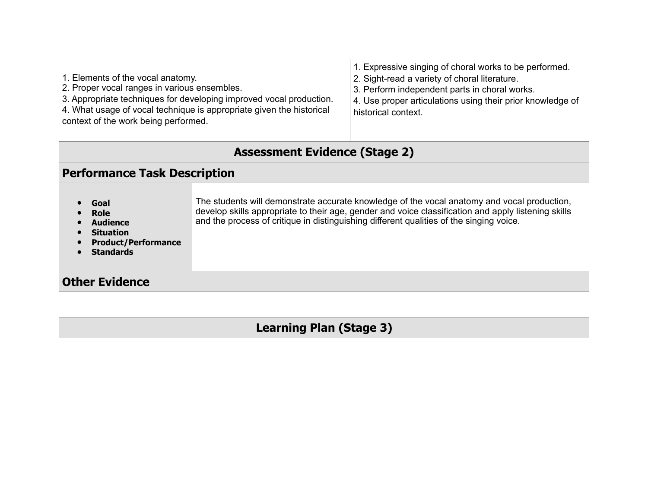| 1. Elements of the vocal anatomy.<br>2. Proper vocal ranges in various ensembles.<br>3. Appropriate techniques for developing improved vocal production.<br>4. What usage of vocal technique is appropriate given the historical<br>context of the work being performed. |                                                                                                                                                                                                                                                                                               | 1. Expressive singing of choral works to be performed.<br>2. Sight-read a variety of choral literature.<br>3. Perform independent parts in choral works.<br>4. Use proper articulations using their prior knowledge of<br>historical context. |  |
|--------------------------------------------------------------------------------------------------------------------------------------------------------------------------------------------------------------------------------------------------------------------------|-----------------------------------------------------------------------------------------------------------------------------------------------------------------------------------------------------------------------------------------------------------------------------------------------|-----------------------------------------------------------------------------------------------------------------------------------------------------------------------------------------------------------------------------------------------|--|
| <b>Assessment Evidence (Stage 2)</b>                                                                                                                                                                                                                                     |                                                                                                                                                                                                                                                                                               |                                                                                                                                                                                                                                               |  |
| <b>Performance Task Description</b>                                                                                                                                                                                                                                      |                                                                                                                                                                                                                                                                                               |                                                                                                                                                                                                                                               |  |
| Goal<br>Role<br><b>Audience</b><br><b>Situation</b><br><b>Product/Performance</b><br><b>Standards</b>                                                                                                                                                                    | The students will demonstrate accurate knowledge of the vocal anatomy and vocal production,<br>develop skills appropriate to their age, gender and voice classification and apply listening skills<br>and the process of critique in distinguishing different qualities of the singing voice. |                                                                                                                                                                                                                                               |  |
| <b>Other Evidence</b>                                                                                                                                                                                                                                                    |                                                                                                                                                                                                                                                                                               |                                                                                                                                                                                                                                               |  |
|                                                                                                                                                                                                                                                                          |                                                                                                                                                                                                                                                                                               |                                                                                                                                                                                                                                               |  |
| <b>Learning Plan (Stage 3)</b>                                                                                                                                                                                                                                           |                                                                                                                                                                                                                                                                                               |                                                                                                                                                                                                                                               |  |